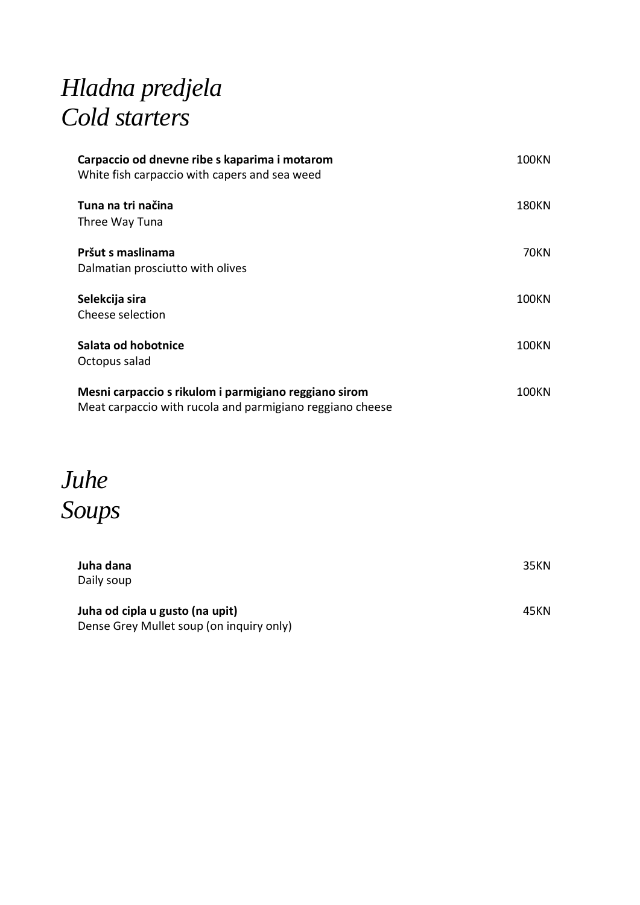## *Hladna predjela Cold starters*

| Carpaccio od dnevne ribe s kaparima i motarom<br>White fish carpaccio with capers and sea weed                     | <b>100KN</b> |
|--------------------------------------------------------------------------------------------------------------------|--------------|
| Tuna na tri načina<br>Three Way Tuna                                                                               | 180KN        |
| Pršut s maslinama<br>Dalmatian prosciutto with olives                                                              | <b>70KN</b>  |
| Selekcija sira<br>Cheese selection                                                                                 | <b>100KN</b> |
| Salata od hobotnice<br>Octopus salad                                                                               | 100KN        |
| Mesni carpaccio s rikulom i parmigiano reggiano sirom<br>Meat carpaccio with rucola and parmigiano reggiano cheese | 100KN        |

*Juhe Soups*

| Juha dana                                | 35KN |
|------------------------------------------|------|
| Daily soup                               |      |
|                                          |      |
| Juha od cipla u gusto (na upit)          | 45KN |
| Dense Grey Mullet soup (on inquiry only) |      |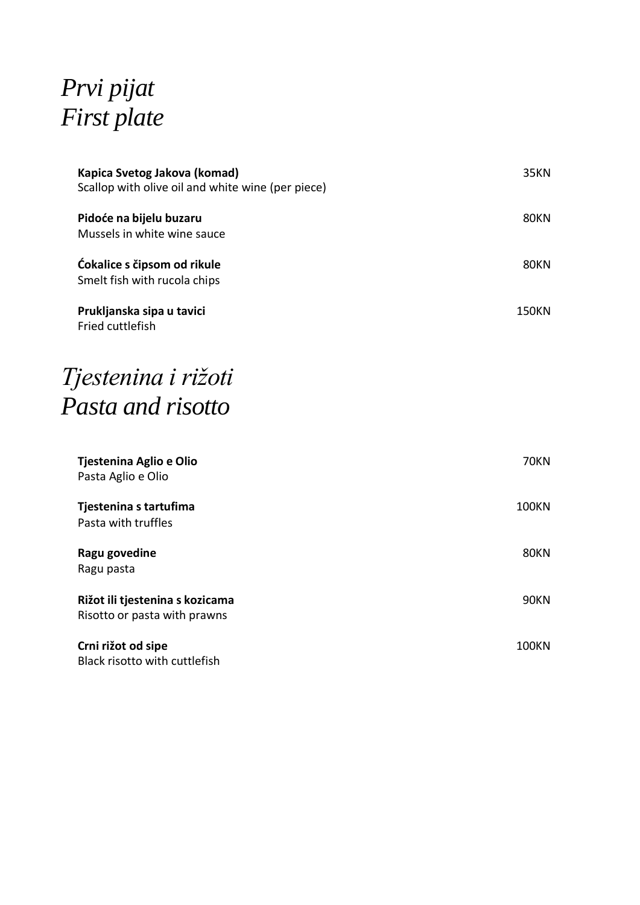# *Prvi pijat First plate*

| Kapica Svetog Jakova (komad)<br>Scallop with olive oil and white wine (per piece) | <b>35KN</b>  |
|-----------------------------------------------------------------------------------|--------------|
| Pidoće na bijelu buzaru<br>Mussels in white wine sauce                            | <b>80KN</b>  |
| Ćokalice s čipsom od rikule<br>Smelt fish with rucola chips                       | <b>80KN</b>  |
| Prukljanska sipa u tavici<br>Fried cuttlefish                                     | <b>150KN</b> |
| Tjestenina i rižoti                                                               |              |
| Pasta and risotto                                                                 |              |
| Tjestenina Aglio e Olio<br>Pasta Aglio e Olio                                     | <b>70KN</b>  |
| Tjestenina s tartufima<br>Pasta with truffles                                     | <b>100KN</b> |
| Ragu govedine<br>Ragu pasta                                                       | <b>80KN</b>  |
| Rižot ili tjestenina s kozicama<br>Risotto or pasta with prawns                   | <b>90KN</b>  |
| Crni rižot od sipe<br>Black risotto with cuttlefish                               | <b>100KN</b> |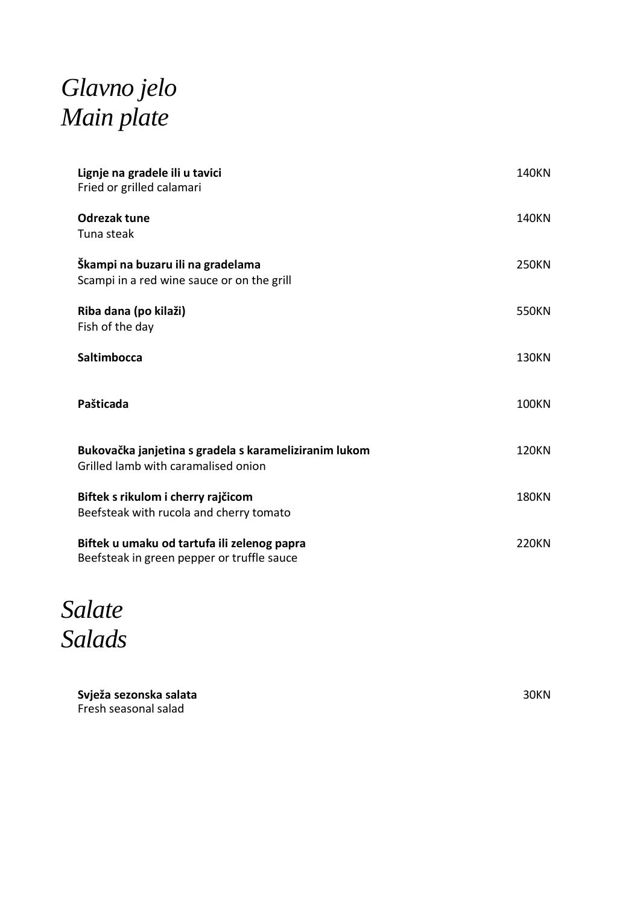### *Glavno jelo Main plate*

| Lignje na gradele ili u tavici<br>Fried or grilled calamari                                  | <b>140KN</b> |  |
|----------------------------------------------------------------------------------------------|--------------|--|
| Odrezak tune<br>Tuna steak                                                                   | <b>140KN</b> |  |
| Škampi na buzaru ili na gradelama<br>Scampi in a red wine sauce or on the grill              | <b>250KN</b> |  |
| Riba dana (po kilaži)<br>Fish of the day                                                     | 550KN        |  |
| <b>Saltimbocca</b>                                                                           | <b>130KN</b> |  |
| Pašticada                                                                                    | <b>100KN</b> |  |
| Bukovačka janjetina s gradela s karameliziranim lukom<br>Grilled lamb with caramalised onion | <b>120KN</b> |  |
| Biftek s rikulom i cherry rajčicom<br>Beefsteak with rucola and cherry tomato                | <b>180KN</b> |  |
| Biftek u umaku od tartufa ili zelenog papra<br>Beefsteak in green pepper or truffle sauce    | <b>220KN</b> |  |

*Salate Salads*

**Svježa sezonska salata** Fresh seasonal salad

30KN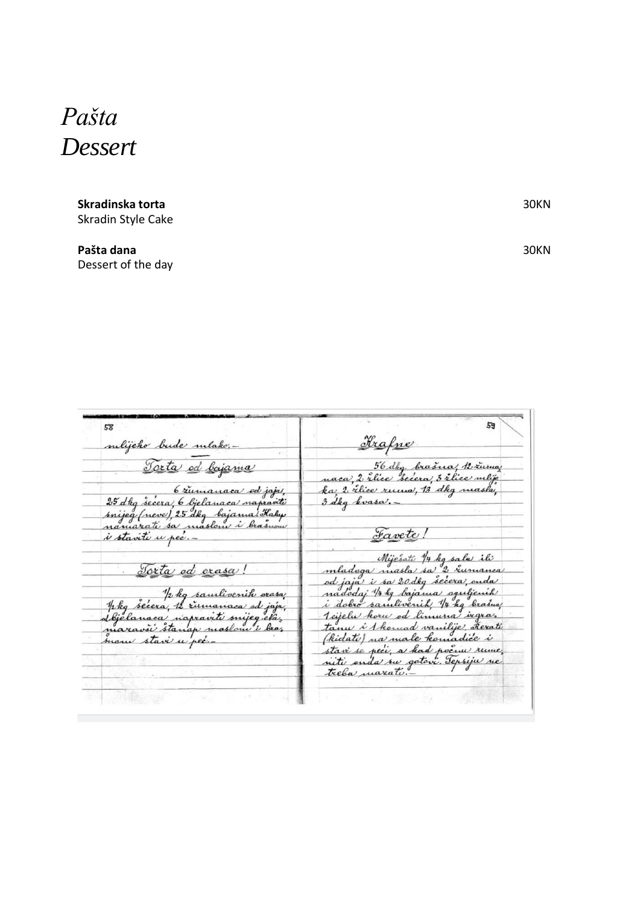#### *Pašta Dessert*

#### **Skradinska torta** Skradin Style Cake

**Pašta dana** Dessert of the day 30KN

30KN

|                                      | 59                                            |
|--------------------------------------|-----------------------------------------------|
|                                      |                                               |
| sulijeko bude mlako.-                | Frafne                                        |
|                                      |                                               |
|                                      |                                               |
| Torta od bajama                      | 56 dkg brasna, 12 zurna                       |
|                                      | naca, 2 rlice "secera, 3 rlice mlije          |
|                                      | ka, 2 riice runna, 13 dkg nuasla,             |
| 6 zumanaca od jaja,                  |                                               |
| 25 dkg secera, 6 ljelanaca napraviti | 3 dkg kvasa.                                  |
| śnijeg (neve), 25 dkg bajama! Kaly   |                                               |
| namarati sa maslene i brasnow        |                                               |
|                                      | Favete!                                       |
| i stavite u pec.-                    |                                               |
|                                      |                                               |
|                                      | Miješati 14 kg sala ili                       |
| <u>Torta ed orașa!</u>               | mladoga niasla sa 2 rumanca                   |
|                                      | od jaja <sup>,</sup> i sa 20 dkg secera, ouda |
|                                      |                                               |
| phy samlivenik orasa                 | nadodaj 14 kg bajama oguljenih                |
|                                      | i dobro samlivenih 14 kg brašna               |
|                                      | <u>Tcijelu koru od linnuna ingraz</u>         |
|                                      | tanu i 1 komad vanilije, Rerati               |
| maravsi stanap maslom i bra,         |                                               |
| mani stavi u pec.                    | (kidato) na male komadice i                   |
|                                      | stavi se peci, a had pocum rume.              |
|                                      | niti onda su gotovi šepsiju ne                |
|                                      | treba <i>maratu</i> .                         |
|                                      |                                               |
|                                      |                                               |
|                                      |                                               |